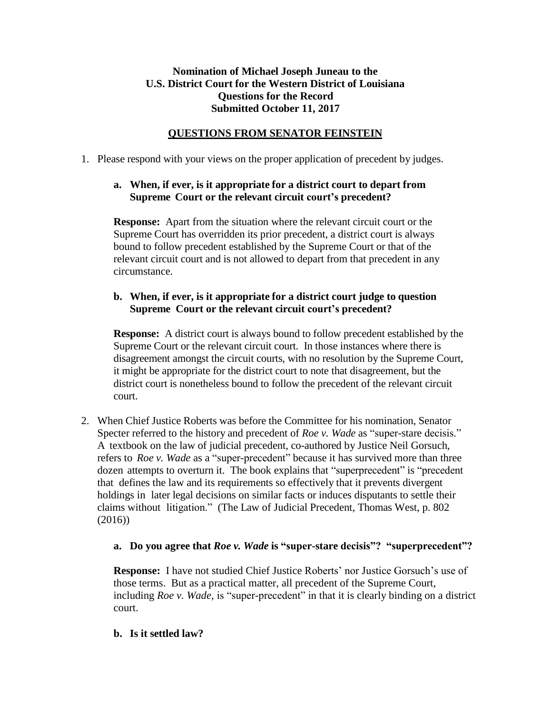# **Nomination of Michael Joseph Juneau to the U.S. District Court for the Western District of Louisiana Questions for the Record Submitted October 11, 2017**

## **QUESTIONS FROM SENATOR FEINSTEIN**

1. Please respond with your views on the proper application of precedent by judges.

# **a. When, if ever, is it appropriate for a district court to depart from Supreme Court or the relevant circuit court's precedent?**

**Response:** Apart from the situation where the relevant circuit court or the Supreme Court has overridden its prior precedent, a district court is always bound to follow precedent established by the Supreme Court or that of the relevant circuit court and is not allowed to depart from that precedent in any circumstance.

## **b. When, if ever, is it appropriate for a district court judge to question Supreme Court or the relevant circuit court's precedent?**

**Response:** A district court is always bound to follow precedent established by the Supreme Court or the relevant circuit court. In those instances where there is disagreement amongst the circuit courts, with no resolution by the Supreme Court, it might be appropriate for the district court to note that disagreement, but the district court is nonetheless bound to follow the precedent of the relevant circuit court.

2. When Chief Justice Roberts was before the Committee for his nomination, Senator Specter referred to the history and precedent of *Roe v. Wade* as "super-stare decisis." A textbook on the law of judicial precedent, co-authored by Justice Neil Gorsuch, refers to *Roe v. Wade* as a "super-precedent" because it has survived more than three dozen attempts to overturn it. The book explains that "superprecedent" is "precedent that defines the law and its requirements so effectively that it prevents divergent holdings in later legal decisions on similar facts or induces disputants to settle their claims without litigation." (The Law of Judicial Precedent, Thomas West, p. 802 (2016))

### **a. Do you agree that** *Roe v. Wade* **is "super-stare decisis"? "superprecedent"?**

**Response:** I have not studied Chief Justice Roberts' nor Justice Gorsuch's use of those terms. But as a practical matter, all precedent of the Supreme Court, including *Roe v. Wade,* is "super-precedent" in that it is clearly binding on a district court.

### **b. Is it settled law?**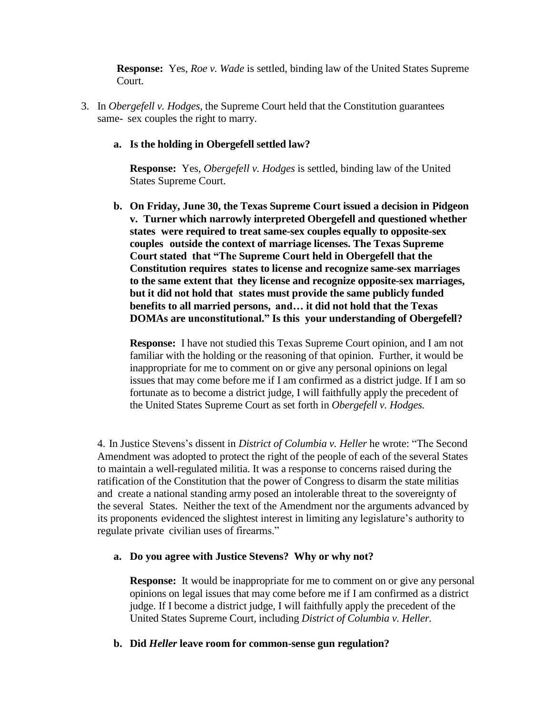**Response:** Yes, *Roe v. Wade* is settled, binding law of the United States Supreme Court.

3. In *Obergefell v. Hodges*, the Supreme Court held that the Constitution guarantees same- sex couples the right to marry.

#### **a. Is the holding in Obergefell settled law?**

**Response:** Yes, *Obergefell v. Hodges* is settled, binding law of the United States Supreme Court.

**b. On Friday, June 30, the Texas Supreme Court issued a decision in Pidgeon v. Turner which narrowly interpreted Obergefell and questioned whether states were required to treat same-sex couples equally to opposite-sex couples outside the context of marriage licenses. The Texas Supreme Court stated that "The Supreme Court held in Obergefell that the Constitution requires states to license and recognize same-sex marriages to the same extent that they license and recognize opposite-sex marriages, but it did not hold that states must provide the same publicly funded benefits to all married persons, and… it did not hold that the Texas DOMAs are unconstitutional." Is this your understanding of Obergefell?**

**Response:** I have not studied this Texas Supreme Court opinion, and I am not familiar with the holding or the reasoning of that opinion. Further, it would be inappropriate for me to comment on or give any personal opinions on legal issues that may come before me if I am confirmed as a district judge. If I am so fortunate as to become a district judge, I will faithfully apply the precedent of the United States Supreme Court as set forth in *Obergefell v. Hodges.*

4. In Justice Stevens's dissent in *District of Columbia v. Heller* he wrote: "The Second Amendment was adopted to protect the right of the people of each of the several States to maintain a well-regulated militia. It was a response to concerns raised during the ratification of the Constitution that the power of Congress to disarm the state militias and create a national standing army posed an intolerable threat to the sovereignty of the several States. Neither the text of the Amendment nor the arguments advanced by its proponents evidenced the slightest interest in limiting any legislature's authority to regulate private civilian uses of firearms."

#### **a. Do you agree with Justice Stevens? Why or why not?**

**Response:** It would be inappropriate for me to comment on or give any personal opinions on legal issues that may come before me if I am confirmed as a district judge. If I become a district judge, I will faithfully apply the precedent of the United States Supreme Court, including *District of Columbia v. Heller.*

#### **b. Did** *Heller* **leave room for common-sense gun regulation?**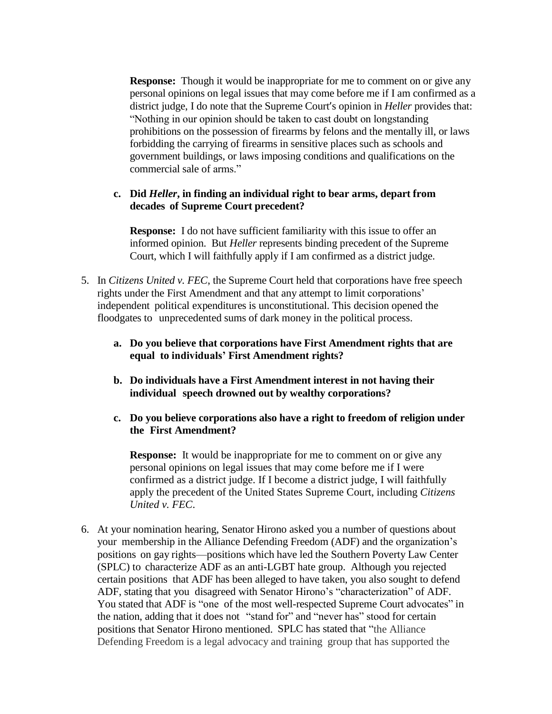**Response:** Though it would be inappropriate for me to comment on or give any personal opinions on legal issues that may come before me if I am confirmed as a district judge, I do note that the Supreme Court's opinion in *Heller* provides that: "Nothing in our opinion should be taken to cast doubt on longstanding prohibitions on the possession of firearms by felons and the mentally ill, or laws forbidding the carrying of firearms in sensitive places such as schools and government buildings, or laws imposing conditions and qualifications on the commercial sale of arms."

### **c. Did** *Heller***, in finding an individual right to bear arms, depart from decades of Supreme Court precedent?**

**Response:** I do not have sufficient familiarity with this issue to offer an informed opinion. But *Heller* represents binding precedent of the Supreme Court, which I will faithfully apply if I am confirmed as a district judge.

- 5. In *Citizens United v. FEC*, the Supreme Court held that corporations have free speech rights under the First Amendment and that any attempt to limit corporations' independent political expenditures is unconstitutional. This decision opened the floodgates to unprecedented sums of dark money in the political process.
	- **a. Do you believe that corporations have First Amendment rights that are equal to individuals' First Amendment rights?**
	- **b. Do individuals have a First Amendment interest in not having their individual speech drowned out by wealthy corporations?**
	- **c. Do you believe corporations also have a right to freedom of religion under the First Amendment?**

**Response:** It would be inappropriate for me to comment on or give any personal opinions on legal issues that may come before me if I were confirmed as a district judge. If I become a district judge, I will faithfully apply the precedent of the United States Supreme Court, including *Citizens United v. FEC*.

6. At your nomination hearing, Senator Hirono asked you a number of questions about your membership in the Alliance Defending Freedom (ADF) and the organization's positions on gay rights—positions which have led the Southern Poverty Law Center (SPLC) to characterize ADF as an anti-LGBT hate group. Although you rejected certain positions that ADF has been alleged to have taken, you also sought to defend ADF, stating that you disagreed with Senator Hirono's "characterization" of ADF. You stated that ADF is "one of the most well-respected Supreme Court advocates" in the nation, adding that it does not "stand for" and "never has" stood for certain positions that Senator Hirono mentioned. SPLC has stated that "the Alliance Defending Freedom is a legal advocacy and training group that has supported the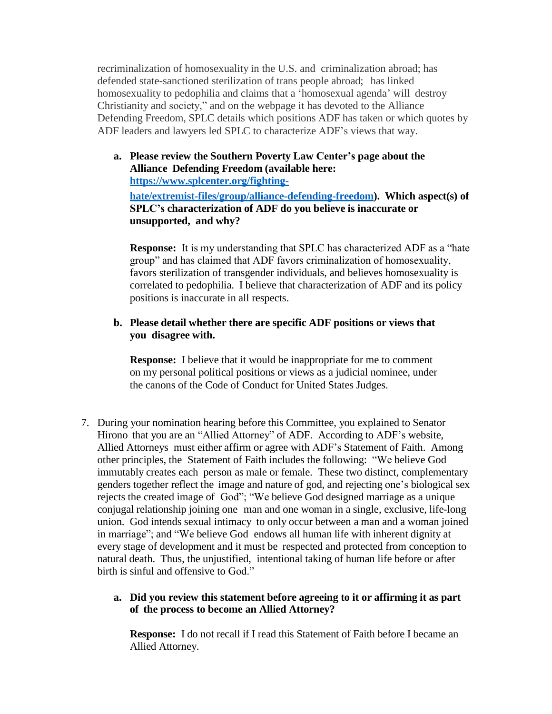recriminalization of homosexuality in the U.S. and criminalization abroad; has defended state-sanctioned sterilization of trans people abroad; has linked homosexuality to pedophilia and claims that a 'homosexual agenda' will destroy Christianity and society," and on the webpage it has devoted to the Alliance Defending Freedom, SPLC details which positions ADF has taken or which quotes by ADF leaders and lawyers led SPLC to characterize ADF's views that way.

**a. Please review the Southern Poverty Law Center's page about the Alliance Defending Freedom (available here: https://www.splcenter.org/fightinghate/extremist-files/group/alliance-defending-freedom). Which aspect(s) of SPLC's characterization of ADF do you believe is inaccurate or unsupported, and why?**

**Response:** It is my understanding that SPLC has characterized ADF as a "hate group" and has claimed that ADF favors criminalization of homosexuality, favors sterilization of transgender individuals, and believes homosexuality is correlated to pedophilia. I believe that characterization of ADF and its policy positions is inaccurate in all respects.

### **b. Please detail whether there are specific ADF positions or views that you disagree with.**

**Response:** I believe that it would be inappropriate for me to comment on my personal political positions or views as a judicial nominee, under the canons of the Code of Conduct for United States Judges.

7. During your nomination hearing before this Committee, you explained to Senator Hirono that you are an "Allied Attorney" of ADF. According to ADF's website, Allied Attorneys must either affirm or agree with ADF's Statement of Faith. Among other principles, the Statement of Faith includes the following: "We believe God immutably creates each person as male or female. These two distinct, complementary genders together reflect the image and nature of god, and rejecting one's biological sex rejects the created image of God"; "We believe God designed marriage as a unique conjugal relationship joining one man and one woman in a single, exclusive, life-long union. God intends sexual intimacy to only occur between a man and a woman joined in marriage"; and "We believe God endows all human life with inherent dignity at every stage of development and it must be respected and protected from conception to natural death. Thus, the unjustified, intentional taking of human life before or after birth is sinful and offensive to God."

## **a. Did you review this statement before agreeing to it or affirming it as part of the process to become an Allied Attorney?**

**Response:** I do not recall if I read this Statement of Faith before I became an Allied Attorney.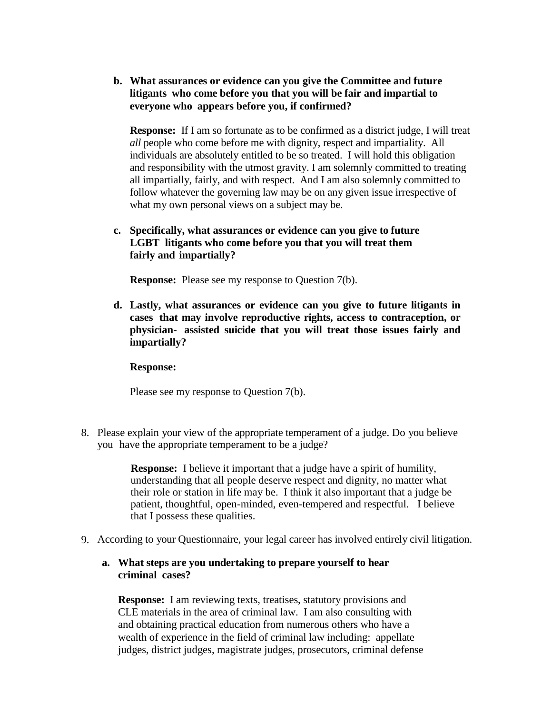**b. What assurances or evidence can you give the Committee and future litigants who come before you that you will be fair and impartial to everyone who appears before you, if confirmed?**

**Response:** If I am so fortunate as to be confirmed as a district judge, I will treat *all* people who come before me with dignity, respect and impartiality. All individuals are absolutely entitled to be so treated. I will hold this obligation and responsibility with the utmost gravity. I am solemnly committed to treating all impartially, fairly, and with respect. And I am also solemnly committed to follow whatever the governing law may be on any given issue irrespective of what my own personal views on a subject may be.

## **c. Specifically, what assurances or evidence can you give to future LGBT litigants who come before you that you will treat them fairly and impartially?**

**Response:** Please see my response to Question 7(b).

**d. Lastly, what assurances or evidence can you give to future litigants in cases that may involve reproductive rights, access to contraception, or physician- assisted suicide that you will treat those issues fairly and impartially?**

#### **Response:**

Please see my response to Question 7(b).

8. Please explain your view of the appropriate temperament of a judge. Do you believe you have the appropriate temperament to be a judge?

> **Response:** I believe it important that a judge have a spirit of humility, understanding that all people deserve respect and dignity, no matter what their role or station in life may be. I think it also important that a judge be patient, thoughtful, open-minded, even-tempered and respectful. I believe that I possess these qualities.

9. According to your Questionnaire, your legal career has involved entirely civil litigation.

### **a. What steps are you undertaking to prepare yourself to hear criminal cases?**

**Response:** I am reviewing texts, treatises, statutory provisions and CLE materials in the area of criminal law. I am also consulting with and obtaining practical education from numerous others who have a wealth of experience in the field of criminal law including: appellate judges, district judges, magistrate judges, prosecutors, criminal defense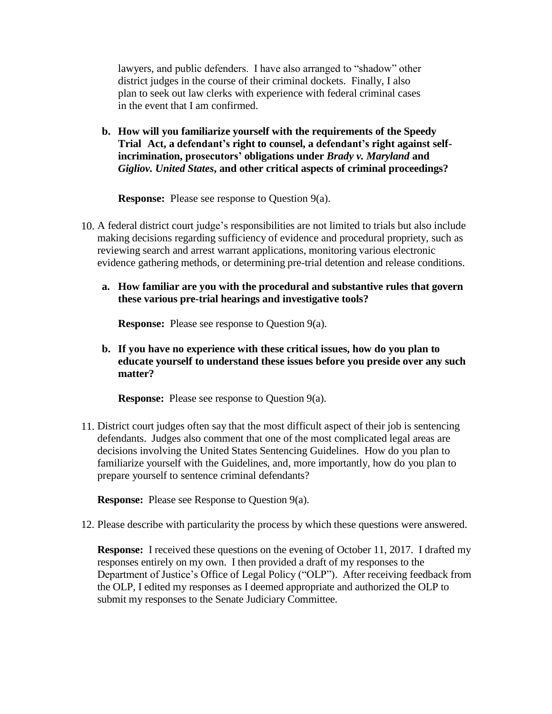lawyers, and public defenders. I have also arranged to "shadow" other district judges in the course of their criminal dockets. Finally, I also plan to seek out law clerks with experience with federal criminal cases in the event that I am confirmed.

**b. How will you familiarize yourself with the requirements of the Speedy Trial Act, a defendant's right to counsel, a defendant's right against selfincrimination, prosecutors' obligations under** *Brady v. Maryland* **and** *Gigliov. United States***, and other critical aspects of criminal proceedings?**

**Response:** Please see response to Question 9(a).

- 10. A federal district court judge's responsibilities are not limited to trials but also include making decisions regarding sufficiency of evidence and procedural propriety, such as reviewing search and arrest warrant applications, monitoring various electronic evidence gathering methods, or determining pre-trial detention and release conditions.
	- **a. How familiar are you with the procedural and substantive rules that govern these various pre-trial hearings and investigative tools?**

**Response:** Please see response to Question 9(a).

**b. If you have no experience with these critical issues, how do you plan to educate yourself to understand these issues before you preside over any such matter?**

**Response:** Please see response to Question 9(a).

11. District court judges often say that the most difficult aspect of their job is sentencing defendants. Judges also comment that one of the most complicated legal areas are decisions involving the United States Sentencing Guidelines. How do you plan to familiarize yourself with the Guidelines, and, more importantly, how do you plan to prepare yourself to sentence criminal defendants?

**Response:** Please see Response to Question 9(a).

12. Please describe with particularity the process by which these questions were answered.

**Response:** I received these questions on the evening of October 11, 2017. I drafted my responses entirely on my own. I then provided a draft of my responses to the Department of Justice's Office of Legal Policy ("OLP"). After receiving feedback from the OLP, I edited my responses as I deemed appropriate and authorized the OLP to submit my responses to the Senate Judiciary Committee.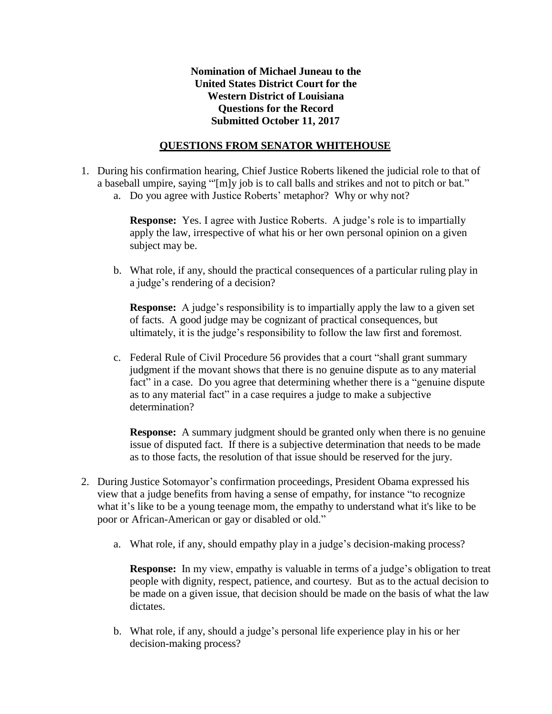## **Nomination of Michael Juneau to the United States District Court for the Western District of Louisiana Questions for the Record Submitted October 11, 2017**

## **QUESTIONS FROM SENATOR WHITEHOUSE**

- 1. During his confirmation hearing, Chief Justice Roberts likened the judicial role to that of a baseball umpire, saying "'[m]y job is to call balls and strikes and not to pitch or bat."
	- a. Do you agree with Justice Roberts' metaphor? Why or why not?

**Response:** Yes. I agree with Justice Roberts. A judge's role is to impartially apply the law, irrespective of what his or her own personal opinion on a given subject may be.

b. What role, if any, should the practical consequences of a particular ruling play in a judge's rendering of a decision?

**Response:** A judge's responsibility is to impartially apply the law to a given set of facts. A good judge may be cognizant of practical consequences, but ultimately, it is the judge's responsibility to follow the law first and foremost.

c. Federal Rule of Civil Procedure 56 provides that a court "shall grant summary judgment if the movant shows that there is no genuine dispute as to any material fact" in a case. Do you agree that determining whether there is a "genuine dispute" as to any material fact" in a case requires a judge to make a subjective determination?

**Response:** A summary judgment should be granted only when there is no genuine issue of disputed fact. If there is a subjective determination that needs to be made as to those facts, the resolution of that issue should be reserved for the jury.

- 2. During Justice Sotomayor's confirmation proceedings, President Obama expressed his view that a judge benefits from having a sense of empathy, for instance "to recognize what it's like to be a young teenage mom, the empathy to understand what it's like to be poor or African-American or gay or disabled or old."
	- a. What role, if any, should empathy play in a judge's decision-making process?

**Response:** In my view, empathy is valuable in terms of a judge's obligation to treat people with dignity, respect, patience, and courtesy. But as to the actual decision to be made on a given issue, that decision should be made on the basis of what the law dictates.

b. What role, if any, should a judge's personal life experience play in his or her decision-making process?